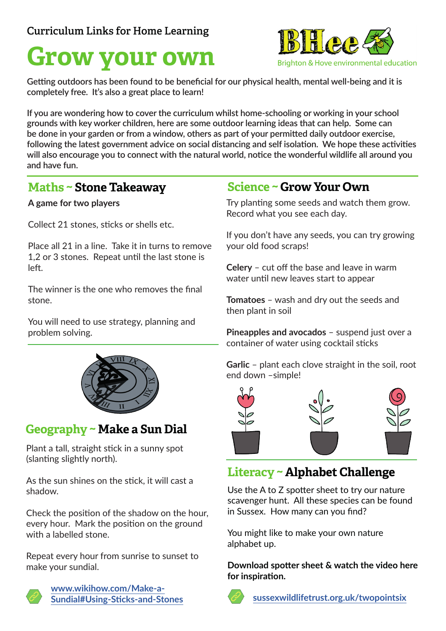# **Grow your own**



**Getting outdoors has been found to be beneficial for our physical health, mental well-being and it is completely free. It's also a great place to learn!**

**If you are wondering how to cover the curriculum whilst home-schooling or working in your school grounds with key worker children, here are some outdoor learning ideas that can help. Some can be done in your garden or from a window, others as part of your permitted daily outdoor exercise, following the latest government advice on social distancing and self isolation. We hope these activities will also encourage you to connect with the natural world, notice the wonderful wildlife all around you and have fun.** 

#### **Maths ~ Stone Takeaway**

#### **A game for two players**

Collect 21 stones, sticks or shells etc.

Place all 21 in a line. Take it in turns to remove 1,2 or 3 stones. Repeat until the last stone is left.

The winner is the one who removes the final stone.

You will need to use strategy, planning and problem solving.



# **Geography ~ Make a Sun Dial**

Plant a tall, straight stick in a sunny spot (slanting slightly north).

As the sun shines on the stick, it will cast a shadow.

Check the position of the shadow on the hour, every hour. Mark the position on the ground with a labelled stone.

Repeat every hour from sunrise to sunset to make your sundial.



**[www.wikihow.com/Make-a-](https://www.wikihow.com/Make-a-Sundial#Using-Sticks-and-Stones)[Sundial#Using-Sticks-and-Stones](https://www.wikihow.com/Make-a-Sundial#Using-Sticks-and-Stones)**

# **Science ~ Grow Your Own**

Try planting some seeds and watch them grow. Record what you see each day.

If you don't have any seeds, you can try growing your old food scraps!

**Celery** – cut off the base and leave in warm water until new leaves start to appear

**Tomatoes** – wash and dry out the seeds and then plant in soil

**Pineapples and avocados** – suspend just over a container of water using cocktail sticks

**Garlic** – plant each clove straight in the soil, root end down –simple!



# **Literacy ~ Alphabet Challenge**

Use the A to Z spotter sheet to try our nature scavenger hunt. All these species can be found in Sussex. How many can you find?

You might like to make your own nature alphabet up.

**Download spotter sheet & watch the video here for inspiration.**